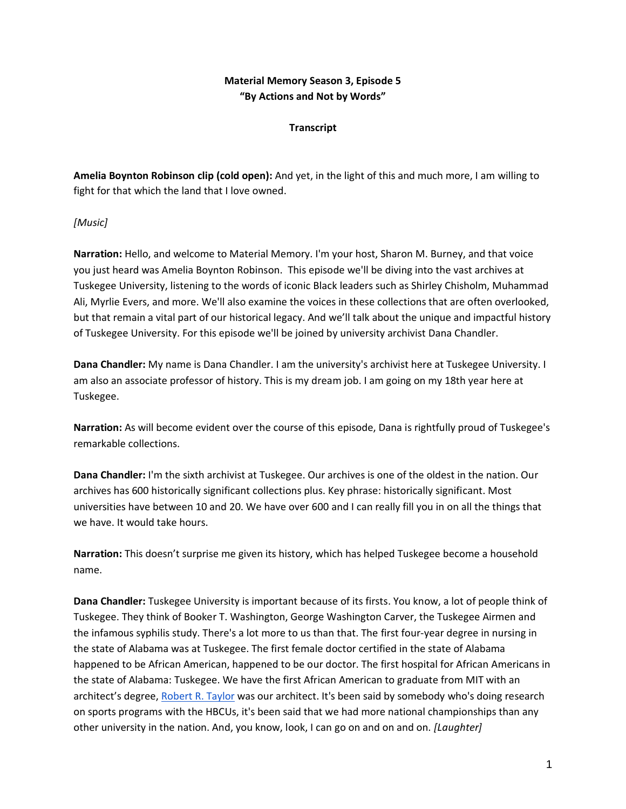# **Material Memory Season 3, Episode 5 "By Actions and Not by Words"**

### **Transcript**

**Amelia Boynton Robinson clip (cold open):** And yet, in the light of this and much more, I am willing to fight for that which the land that I love owned.

### *[Music]*

**Narration:** Hello, and welcome to Material Memory. I'm your host, Sharon M. Burney, and that voice you just heard was Amelia Boynton Robinson. This episode we'll be diving into the vast archives at Tuskegee University, listening to the words of iconic Black leaders such as Shirley Chisholm, Muhammad Ali, Myrlie Evers, and more. We'll also examine the voices in these collections that are often overlooked, but that remain a vital part of our historical legacy. And we'll talk about the unique and impactful history of Tuskegee University. For this episode we'll be joined by university archivist Dana Chandler.

**Dana Chandler:** My name is Dana Chandler. I am the university's archivist here at Tuskegee University. I am also an associate professor of history. This is my dream job. I am going on my 18th year here at Tuskegee.

**Narration:** As will become evident over the course of this episode, Dana is rightfully proud of Tuskegee's remarkable collections.

**Dana Chandler:** I'm the sixth archivist at Tuskegee. Our archives is one of the oldest in the nation. Our archives has 600 historically significant collections plus. Key phrase: historically significant. Most universities have between 10 and 20. We have over 600 and I can really fill you in on all the things that we have. It would take hours.

**Narration:** This doesn't surprise me given its history, which has helped Tuskegee become a household name.

**Dana Chandler:** Tuskegee University is important because of its firsts. You know, a lot of people think of Tuskegee. They think of Booker T. Washington, George Washington Carver, the Tuskegee Airmen and the infamous syphilis study. There's a lot more to us than that. The first four-year degree in nursing in the state of Alabama was at Tuskegee. The first female doctor certified in the state of Alabama happened to be African American, happened to be our doctor. The first hospital for African Americans in the state of Alabama: Tuskegee. We have the first African American to graduate from MIT with an architect's degree[, Robert R. Taylor](https://www.blackhistory.mit.edu/story/robert-r-taylor) was our architect. It's been said by somebody who's doing research on sports programs with the HBCUs, it's been said that we had more national championships than any other university in the nation. And, you know, look, I can go on and on and on. *[Laughter]*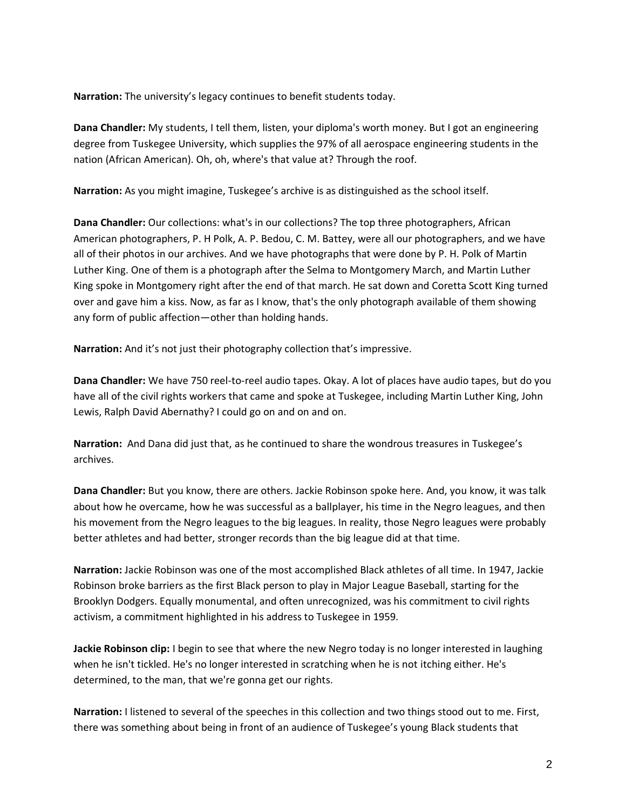**Narration:** The university's legacy continues to benefit students today.

**Dana Chandler:** My students, I tell them, listen, your diploma's worth money. But I got an engineering degree from Tuskegee University, which supplies the 97% of all aerospace engineering students in the nation (African American). Oh, oh, where's that value at? Through the roof.

**Narration:** As you might imagine, Tuskegee's archive is as distinguished as the school itself.

**Dana Chandler:** Our collections: what's in our collections? The top three photographers, African American photographers, P. H Polk, A. P. Bedou, C. M. Battey, were all our photographers, and we have all of their photos in our archives. And we have photographs that were done by P. H. Polk of Martin Luther King. One of them is a photograph after the Selma to Montgomery March, and Martin Luther King spoke in Montgomery right after the end of that march. He sat down and Coretta Scott King turned over and gave him a kiss. Now, as far as I know, that's the only photograph available of them showing any form of public affection—other than holding hands.

**Narration:** And it's not just their photography collection that's impressive.

**Dana Chandler:** We have 750 reel-to-reel audio tapes. Okay. A lot of places have audio tapes, but do you have all of the civil rights workers that came and spoke at Tuskegee, including Martin Luther King, John Lewis, Ralph David Abernathy? I could go on and on and on.

**Narration:** And Dana did just that, as he continued to share the wondrous treasures in Tuskegee's archives.

**Dana Chandler:** But you know, there are others. Jackie Robinson spoke here. And, you know, it was talk about how he overcame, how he was successful as a ballplayer, his time in the Negro leagues, and then his movement from the Negro leagues to the big leagues. In reality, those Negro leagues were probably better athletes and had better, stronger records than the big league did at that time.

**Narration:** Jackie Robinson was one of the most accomplished Black athletes of all time. In 1947, Jackie Robinson broke barriers as the first Black person to play in Major League Baseball, starting for the Brooklyn Dodgers. Equally monumental, and often unrecognized, was his commitment to civil rights activism, a commitment highlighted in his address to Tuskegee in 1959.

**Jackie Robinson clip:** I begin to see that where the new Negro today is no longer interested in laughing when he isn't tickled. He's no longer interested in scratching when he is not itching either. He's determined, to the man, that we're gonna get our rights.

**Narration:** I listened to several of the speeches in this collection and two things stood out to me. First, there was something about being in front of an audience of Tuskegee's young Black students that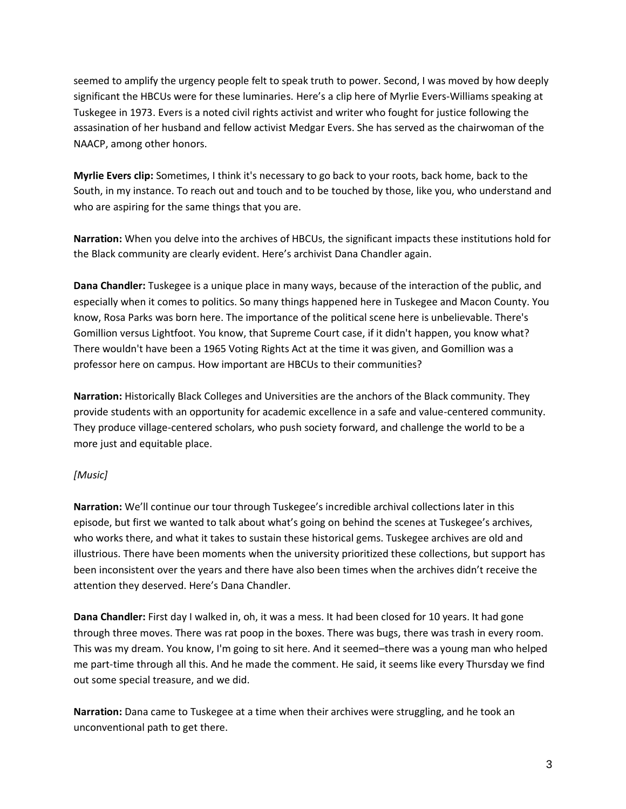seemed to amplify the urgency people felt to speak truth to power. Second, I was moved by how deeply significant the HBCUs were for these luminaries. Here's a clip here of Myrlie Evers-Williams speaking at Tuskegee in 1973. Evers is a noted civil rights activist and writer who fought for justice following the assasination of her husband and fellow activist Medgar Evers. She has served as the chairwoman of the NAACP, among other honors.

**Myrlie Evers clip:** Sometimes, I think it's necessary to go back to your roots, back home, back to the South, in my instance. To reach out and touch and to be touched by those, like you, who understand and who are aspiring for the same things that you are.

**Narration:** When you delve into the archives of HBCUs, the significant impacts these institutions hold for the Black community are clearly evident. Here's archivist Dana Chandler again.

**Dana Chandler:** Tuskegee is a unique place in many ways, because of the interaction of the public, and especially when it comes to politics. So many things happened here in Tuskegee and Macon County. You know, Rosa Parks was born here. The importance of the political scene here is unbelievable. There's Gomillion versus Lightfoot. You know, that Supreme Court case, if it didn't happen, you know what? There wouldn't have been a 1965 Voting Rights Act at the time it was given, and Gomillion was a professor here on campus. How important are HBCUs to their communities?

**Narration:** Historically Black Colleges and Universities are the anchors of the Black community. They provide students with an opportunity for academic excellence in a safe and value-centered community. They produce village-centered scholars, who push society forward, and challenge the world to be a more just and equitable place.

# *[Music]*

**Narration:** We'll continue our tour through Tuskegee's incredible archival collections later in this episode, but first we wanted to talk about what's going on behind the scenes at Tuskegee's archives, who works there, and what it takes to sustain these historical gems. Tuskegee archives are old and illustrious. There have been moments when the university prioritized these collections, but support has been inconsistent over the years and there have also been times when the archives didn't receive the attention they deserved. Here's Dana Chandler.

**Dana Chandler:** First day I walked in, oh, it was a mess. It had been closed for 10 years. It had gone through three moves. There was rat poop in the boxes. There was bugs, there was trash in every room. This was my dream. You know, I'm going to sit here. And it seemed–there was a young man who helped me part-time through all this. And he made the comment. He said, it seems like every Thursday we find out some special treasure, and we did.

**Narration:** Dana came to Tuskegee at a time when their archives were struggling, and he took an unconventional path to get there.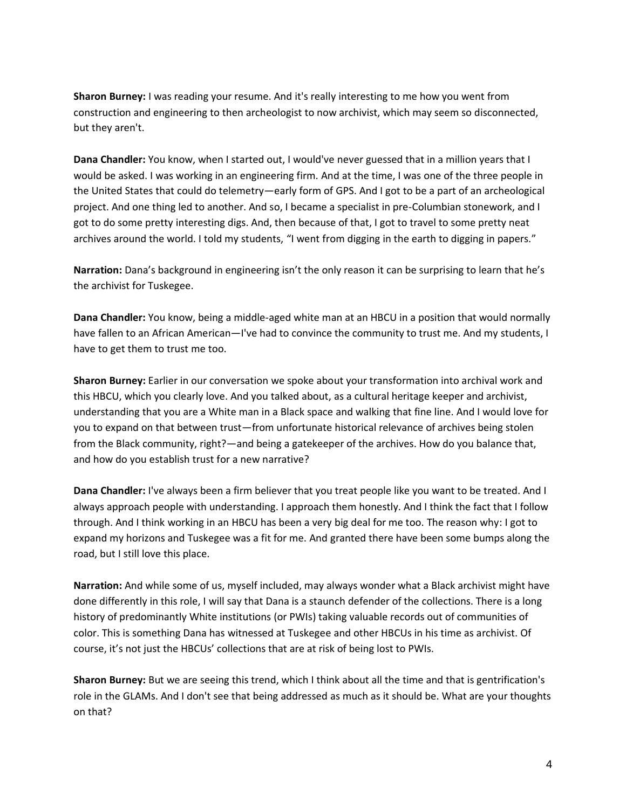**Sharon Burney:** I was reading your resume. And it's really interesting to me how you went from construction and engineering to then archeologist to now archivist, which may seem so disconnected, but they aren't.

**Dana Chandler:** You know, when I started out, I would've never guessed that in a million years that I would be asked. I was working in an engineering firm. And at the time, I was one of the three people in the United States that could do telemetry—early form of GPS. And I got to be a part of an archeological project. And one thing led to another. And so, I became a specialist in pre-Columbian stonework, and I got to do some pretty interesting digs. And, then because of that, I got to travel to some pretty neat archives around the world. I told my students, "I went from digging in the earth to digging in papers."

**Narration:** Dana's background in engineering isn't the only reason it can be surprising to learn that he's the archivist for Tuskegee.

**Dana Chandler:** You know, being a middle-aged white man at an HBCU in a position that would normally have fallen to an African American—I've had to convince the community to trust me. And my students, I have to get them to trust me too.

**Sharon Burney:** Earlier in our conversation we spoke about your transformation into archival work and this HBCU, which you clearly love. And you talked about, as a cultural heritage keeper and archivist, understanding that you are a White man in a Black space and walking that fine line. And I would love for you to expand on that between trust—from unfortunate historical relevance of archives being stolen from the Black community, right?—and being a gatekeeper of the archives. How do you balance that, and how do you establish trust for a new narrative?

**Dana Chandler:** I've always been a firm believer that you treat people like you want to be treated. And I always approach people with understanding. I approach them honestly. And I think the fact that I follow through. And I think working in an HBCU has been a very big deal for me too. The reason why: I got to expand my horizons and Tuskegee was a fit for me. And granted there have been some bumps along the road, but I still love this place.

**Narration:** And while some of us, myself included, may always wonder what a Black archivist might have done differently in this role, I will say that Dana is a staunch defender of the collections. There is a long history of predominantly White institutions (or PWIs) taking valuable records out of communities of color. This is something Dana has witnessed at Tuskegee and other HBCUs in his time as archivist. Of course, it's not just the HBCUs' collections that are at risk of being lost to PWIs.

**Sharon Burney:** But we are seeing this trend, which I think about all the time and that is gentrification's role in the GLAMs. And I don't see that being addressed as much as it should be. What are your thoughts on that?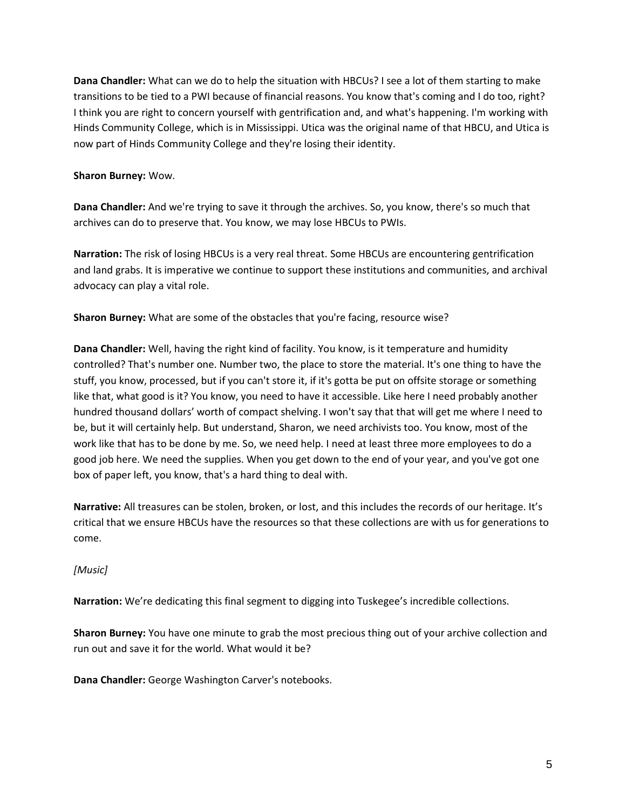**Dana Chandler:** What can we do to help the situation with HBCUs? I see a lot of them starting to make transitions to be tied to a PWI because of financial reasons. You know that's coming and I do too, right? I think you are right to concern yourself with gentrification and, and what's happening. I'm working with Hinds Community College, which is in Mississippi. Utica was the original name of that HBCU, and Utica is now part of Hinds Community College and they're losing their identity.

### **Sharon Burney:** Wow.

**Dana Chandler:** And we're trying to save it through the archives. So, you know, there's so much that archives can do to preserve that. You know, we may lose HBCUs to PWIs.

**Narration:** The risk of losing HBCUs is a very real threat. Some HBCUs are encountering gentrification and land grabs. It is imperative we continue to support these institutions and communities, and archival advocacy can play a vital role.

**Sharon Burney:** What are some of the obstacles that you're facing, resource wise?

**Dana Chandler:** Well, having the right kind of facility. You know, is it temperature and humidity controlled? That's number one. Number two, the place to store the material. It's one thing to have the stuff, you know, processed, but if you can't store it, if it's gotta be put on offsite storage or something like that, what good is it? You know, you need to have it accessible. Like here I need probably another hundred thousand dollars' worth of compact shelving. I won't say that that will get me where I need to be, but it will certainly help. But understand, Sharon, we need archivists too. You know, most of the work like that has to be done by me. So, we need help. I need at least three more employees to do a good job here. We need the supplies. When you get down to the end of your year, and you've got one box of paper left, you know, that's a hard thing to deal with.

**Narrative:** All treasures can be stolen, broken, or lost, and this includes the records of our heritage. It's critical that we ensure HBCUs have the resources so that these collections are with us for generations to come.

*[Music]*

**Narration:** We're dedicating this final segment to digging into Tuskegee's incredible collections.

**Sharon Burney:** You have one minute to grab the most precious thing out of your archive collection and run out and save it for the world. What would it be?

**Dana Chandler:** George Washington Carver's notebooks.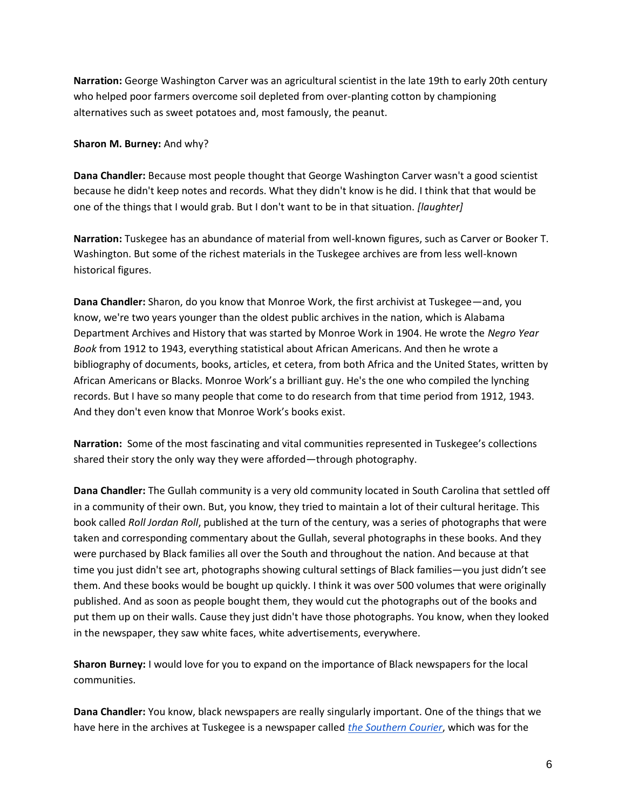**Narration:** George Washington Carver was an agricultural scientist in the late 19th to early 20th century who helped poor farmers overcome soil depleted from over-planting cotton by championing alternatives such as sweet potatoes and, most famously, the peanut.

#### **Sharon M. Burney:** And why?

**Dana Chandler:** Because most people thought that George Washington Carver wasn't a good scientist because he didn't keep notes and records. What they didn't know is he did. I think that that would be one of the things that I would grab. But I don't want to be in that situation. *[laughter]*

**Narration:** Tuskegee has an abundance of material from well-known figures, such as Carver or Booker T. Washington. But some of the richest materials in the Tuskegee archives are from less well-known historical figures.

**Dana Chandler:** Sharon, do you know that Monroe Work, the first archivist at Tuskegee—and, you know, we're two years younger than the oldest public archives in the nation, which is Alabama Department Archives and History that was started by Monroe Work in 1904. He wrote the *Negro Year Book* from 1912 to 1943, everything statistical about African Americans. And then he wrote a bibliography of documents, books, articles, et cetera, from both Africa and the United States, written by African Americans or Blacks. Monroe Work's a brilliant guy. He's the one who compiled the lynching records. But I have so many people that come to do research from that time period from 1912, 1943. And they don't even know that Monroe Work's books exist.

**Narration:** Some of the most fascinating and vital communities represented in Tuskegee's collections shared their story the only way they were afforded—through photography.

**Dana Chandler:** The Gullah community is a very old community located in South Carolina that settled off in a community of their own. But, you know, they tried to maintain a lot of their cultural heritage. This book called *Roll Jordan Roll*, published at the turn of the century, was a series of photographs that were taken and corresponding commentary about the Gullah, several photographs in these books. And they were purchased by Black families all over the South and throughout the nation. And because at that time you just didn't see art, photographs showing cultural settings of Black families—you just didn't see them. And these books would be bought up quickly. I think it was over 500 volumes that were originally published. And as soon as people bought them, they would cut the photographs out of the books and put them up on their walls. Cause they just didn't have those photographs. You know, when they looked in the newspaper, they saw white faces, white advertisements, everywhere.

**Sharon Burney:** I would love for you to expand on the importance of Black newspapers for the local communities.

**Dana Chandler:** You know, black newspapers are really singularly important. One of the things that we have here in the archives at Tuskegee is a newspaper called *[the Southern Courier](http://www.southerncourier.org/archives.html)*, which was for the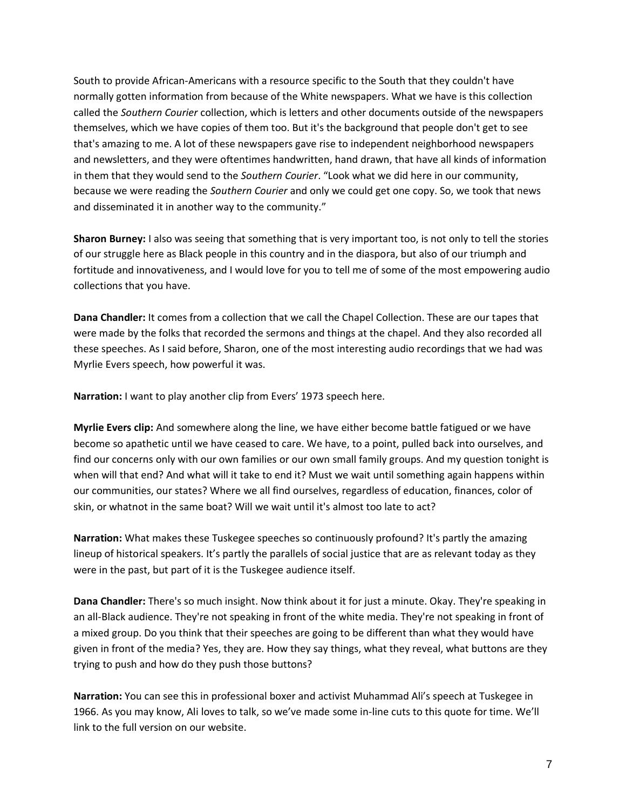South to provide African-Americans with a resource specific to the South that they couldn't have normally gotten information from because of the White newspapers. What we have is this collection called the *Southern Courier* collection, which is letters and other documents outside of the newspapers themselves, which we have copies of them too. But it's the background that people don't get to see that's amazing to me. A lot of these newspapers gave rise to independent neighborhood newspapers and newsletters, and they were oftentimes handwritten, hand drawn, that have all kinds of information in them that they would send to the *Southern Courier*. "Look what we did here in our community, because we were reading the *Southern Courier* and only we could get one copy. So, we took that news and disseminated it in another way to the community."

**Sharon Burney:** I also was seeing that something that is very important too, is not only to tell the stories of our struggle here as Black people in this country and in the diaspora, but also of our triumph and fortitude and innovativeness, and I would love for you to tell me of some of the most empowering audio collections that you have.

**Dana Chandler:** It comes from a collection that we call the Chapel Collection. These are our tapes that were made by the folks that recorded the sermons and things at the chapel. And they also recorded all these speeches. As I said before, Sharon, one of the most interesting audio recordings that we had was Myrlie Evers speech, how powerful it was.

**Narration:** I want to play another clip from Evers' 1973 speech here.

**Myrlie Evers clip:** And somewhere along the line, we have either become battle fatigued or we have become so apathetic until we have ceased to care. We have, to a point, pulled back into ourselves, and find our concerns only with our own families or our own small family groups. And my question tonight is when will that end? And what will it take to end it? Must we wait until something again happens within our communities, our states? Where we all find ourselves, regardless of education, finances, color of skin, or whatnot in the same boat? Will we wait until it's almost too late to act?

**Narration:** What makes these Tuskegee speeches so continuously profound? It's partly the amazing lineup of historical speakers. It's partly the parallels of social justice that are as relevant today as they were in the past, but part of it is the Tuskegee audience itself.

**Dana Chandler:** There's so much insight. Now think about it for just a minute. Okay. They're speaking in an all-Black audience. They're not speaking in front of the white media. They're not speaking in front of a mixed group. Do you think that their speeches are going to be different than what they would have given in front of the media? Yes, they are. How they say things, what they reveal, what buttons are they trying to push and how do they push those buttons?

**Narration:** You can see this in professional boxer and activist Muhammad Ali's speech at Tuskegee in 1966. As you may know, Ali loves to talk, so we've made some in-line cuts to this quote for time. We'll link to the full version on our website.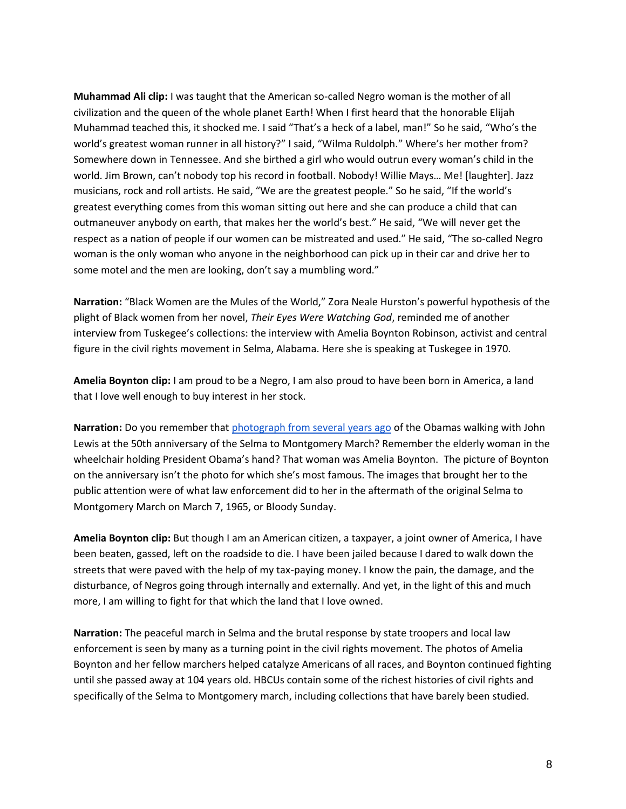**Muhammad Ali clip:** I was taught that the American so-called Negro woman is the mother of all civilization and the queen of the whole planet Earth! When I first heard that the honorable Elijah Muhammad teached this, it shocked me. I said "That's a heck of a label, man!" So he said, "Who's the world's greatest woman runner in all history?" I said, "Wilma Ruldolph." Where's her mother from? Somewhere down in Tennessee. And she birthed a girl who would outrun every woman's child in the world. Jim Brown, can't nobody top his record in football. Nobody! Willie Mays… Me! [laughter]. Jazz musicians, rock and roll artists. He said, "We are the greatest people." So he said, "If the world's greatest everything comes from this woman sitting out here and she can produce a child that can outmaneuver anybody on earth, that makes her the world's best." He said, "We will never get the respect as a nation of people if our women can be mistreated and used." He said, "The so-called Negro woman is the only woman who anyone in the neighborhood can pick up in their car and drive her to some motel and the men are looking, don't say a mumbling word."

**Narration:** "Black Women are the Mules of the World," Zora Neale Hurston's powerful hypothesis of the plight of Black women from her novel, *Their Eyes Were Watching God*, reminded me of another interview from Tuskegee's collections: the interview with Amelia Boynton Robinson, activist and central figure in the civil rights movement in Selma, Alabama. Here she is speaking at Tuskegee in 1970.

**Amelia Boynton clip:** I am proud to be a Negro, I am also proud to have been born in America, a land that I love well enough to buy interest in her stock.

**Narration:** Do you remember tha[t photograph from several years ago](https://obamawhitehouse.archives.gov/blog/2015/03/09/behind-lens-selma-50-years-later) of the Obamas walking with John Lewis at the 50th anniversary of the Selma to Montgomery March? Remember the elderly woman in the wheelchair holding President Obama's hand? That woman was Amelia Boynton. The picture of Boynton on the anniversary isn't the photo for which she's most famous. The images that brought her to the public attention were of what law enforcement did to her in the aftermath of the original Selma to Montgomery March on March 7, 1965, or Bloody Sunday.

**Amelia Boynton clip:** But though I am an American citizen, a taxpayer, a joint owner of America, I have been beaten, gassed, left on the roadside to die. I have been jailed because I dared to walk down the streets that were paved with the help of my tax-paying money. I know the pain, the damage, and the disturbance, of Negros going through internally and externally. And yet, in the light of this and much more, I am willing to fight for that which the land that I love owned.

**Narration:** The peaceful march in Selma and the brutal response by state troopers and local law enforcement is seen by many as a turning point in the civil rights movement. The photos of Amelia Boynton and her fellow marchers helped catalyze Americans of all races, and Boynton continued fighting until she passed away at 104 years old. HBCUs contain some of the richest histories of civil rights and specifically of the Selma to Montgomery march, including collections that have barely been studied.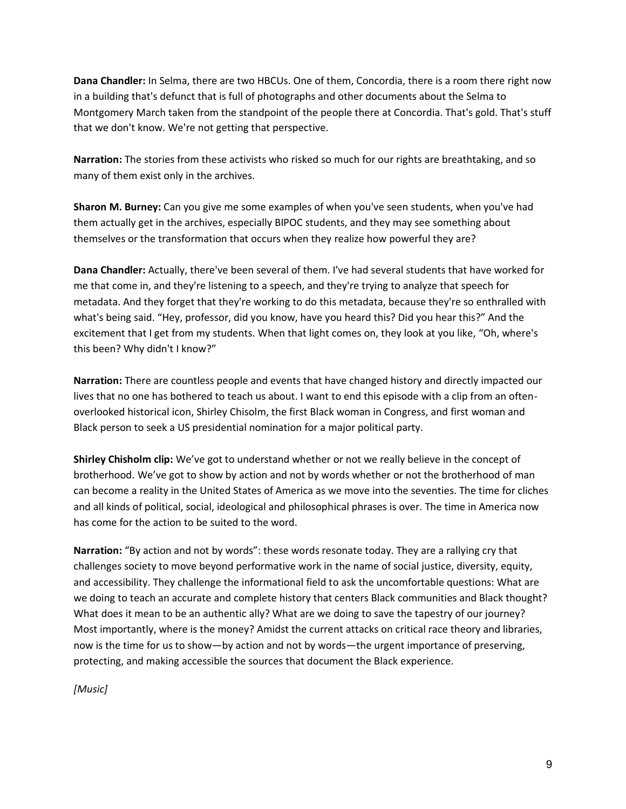**Dana Chandler:** In Selma, there are two HBCUs. One of them, Concordia, there is a room there right now in a building that's defunct that is full of photographs and other documents about the Selma to Montgomery March taken from the standpoint of the people there at Concordia. That's gold. That's stuff that we don't know. We're not getting that perspective.

**Narration:** The stories from these activists who risked so much for our rights are breathtaking, and so many of them exist only in the archives.

**Sharon M. Burney:** Can you give me some examples of when you've seen students, when you've had them actually get in the archives, especially BIPOC students, and they may see something about themselves or the transformation that occurs when they realize how powerful they are?

**Dana Chandler:** Actually, there've been several of them. I've had several students that have worked for me that come in, and they're listening to a speech, and they're trying to analyze that speech for metadata. And they forget that they're working to do this metadata, because they're so enthralled with what's being said. "Hey, professor, did you know, have you heard this? Did you hear this?" And the excitement that I get from my students. When that light comes on, they look at you like, "Oh, where's this been? Why didn't I know?"

**Narration:** There are countless people and events that have changed history and directly impacted our lives that no one has bothered to teach us about. I want to end this episode with a clip from an oftenoverlooked historical icon, Shirley Chisolm, the first Black woman in Congress, and first woman and Black person to seek a US presidential nomination for a major political party.

**Shirley Chisholm clip:** We've got to understand whether or not we really believe in the concept of brotherhood. We've got to show by action and not by words whether or not the brotherhood of man can become a reality in the United States of America as we move into the seventies. The time for cliches and all kinds of political, social, ideological and philosophical phrases is over. The time in America now has come for the action to be suited to the word.

**Narration:** "By action and not by words": these words resonate today. They are a rallying cry that challenges society to move beyond performative work in the name of social justice, diversity, equity, and accessibility. They challenge the informational field to ask the uncomfortable questions: What are we doing to teach an accurate and complete history that centers Black communities and Black thought? What does it mean to be an authentic ally? What are we doing to save the tapestry of our journey? Most importantly, where is the money? Amidst the current attacks on critical race theory and libraries, now is the time for us to show—by action and not by words—the urgent importance of preserving, protecting, and making accessible the sources that document the Black experience.

*[Music]*